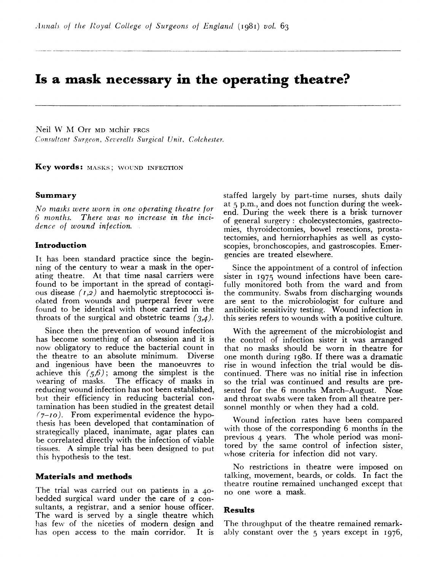# Is a mask necessary in the operating theatre?

Neil W M1 Orr MD Mchir FRCS Consultant Surgeon, Severalls Surgical Unit, Colchester.

Key words: MASKS; WOUND INFECTION

# Summary

No nmasks were worn in one operating theatre for 6 months. There was no increase in the incidence of wound infection.

# Introduction

It has been standard practice since the beginning of the century to wear a mask in the operating theatre. At that time nasal carriers were found to be important in the spread of contagious disease  $(1,2)$  and haemolytic streptococci isolated from wounds and puerperal fever were found to be identical with those carried in the throats of the surgical and obstetric teams  $(3,4)$ .

Since then the prevention of wound infection has become something of an obsession and it is now obligatory to reduce the bacterial count in the theatre to an absolute minimum. Diverse and ingenious have been the manoeuvres to achieve this  $(5.6)$ ; among the simplest is the wearing of masks. The efficacy of masks in reducing wound infection has not been established, but their efficiency in reducing bacterial contamination has been studied in the greatest detail  $(7-10)$ . From experimental evidence the hypothesis has been developed that contamination of strategically placed, inanimate, agar plates can be correlated directly with the infection of viable tissues. A simple trial has been designed to put this hypothesis to the test.

#### Materials and methods

The trial was carried out on patients in a 40 bedded surgical ward under the care of 2 consultants, a registrar, and a senior house officer. The ward is served by a single theatre which has few of the niceties of modern design and has open access to the main corridor. It is

staffed largely by part-time nurses, shuts daily at 5 p.m., and does not function during the weekend. During the week there is a brisk turnover of general surgery: cholecystectomies, gastrectomies, thyroidectomies, bowel resections, prostatectomies, and herniorrhaphies as well as cystoscopies, bronchoscopies, and gastroscopies. Emergencies are treated elsewhere.

Since the appointment of a control of infection sister in 1975 wound infections have been carefully monitored both from the ward and from the community. Swabs from discharging wounds are sent to the microbiologist for culture and antibiotic sensitivity testing. Wound infection in this series refers to wounds with a positive culture.

With the agreement of the microbiologist and the control of infection sister it was arranged that no masks should be worn in theatre for one month during I980. If there was a dramatic rise in wound infection the trial would be discontinued. There was no initial rise in infection so the trial was continued and results are presented for the 6 months March-August. Nose and throat swabs were taken from all theatre personnel monthly or when they had a cold.

Wound infection rates have been compared with those of the corresponding 6 months in the previous 4 years. The whole period was monitored by the same control of infection sister, whose criteria for infection did not vary.

No restrictions in theatre were imposed on talking, movement, beards, or colds. In fact the theatre routine remained unchanged except that no one wore a mask.

#### Results

The throughput of the theatre remained remarkably constant over the 5 years except in I976,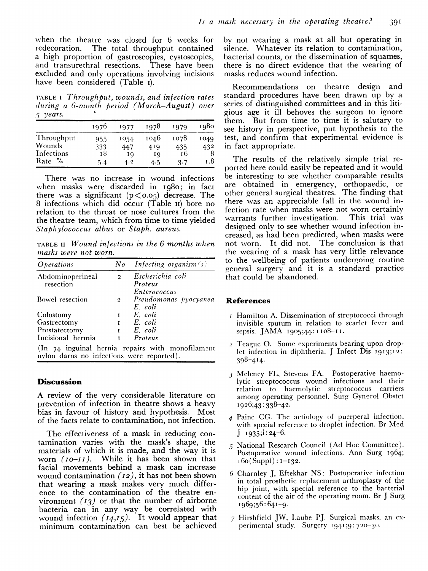when the theatre was closed for 6 weeks for redecoration. The total throughput contained a high proportion of gastroscopies, cystoscopies, and transurethral resections. These have been excluded and only operations involving incisions have been considered (Table i).

TABLE <sup>I</sup> Throughput, wounds, and infection rates during a 6-month period (March-August) over  $5$  years.

|            | 1976 | 1977 | 1978 | 1979 | 1980 |
|------------|------|------|------|------|------|
| Throughput | 955  | 1054 | 1046 | 1078 | 1049 |
| Wounds     | 333  | 447  | 419  | 435  | 432  |
| Infections | 18   | 10   | ΙQ   | 16   |      |
| %<br>Rate  | 5.4  | 4.2  | 4.5  | 3.7  | 1.8  |

There was no increase in wound infections when masks were discarded in 1980; in fact there was a significant  $(p < 0.05)$  decrease. The 8 infections which did occur (Table II) bore no relation to the throat or nose cultures from the the theatre team, which from time to time yielded Staphylococcus albus or Staph. aureus.

TABLE II Wound infections in the 6 months when masks were not worn.

| <i>Operations</i>                         | No           | <b>Infecting organism</b> $(s)$                  |
|-------------------------------------------|--------------|--------------------------------------------------|
| Abdominoperineal                          | $\mathbf{2}$ | Escherichia coli                                 |
| resection                                 |              | Proteus                                          |
|                                           |              | Enterococcus                                     |
| Bowel resection                           | $\mathbf{2}$ | Pseudomonas pyocyanea                            |
|                                           |              | E. coli                                          |
| Colostomy                                 | T            | E. coli                                          |
| Gastrectomy                               | $\mathbf{r}$ | E. coli                                          |
| Prostatectomy                             |              | E. coli                                          |
| Incisional hermia                         | $\mathbf{r}$ | Proteus                                          |
| nylon darns no infections were reported). |              | (In 74 inguinal hernia repairs with monofilament |

# **Discussion**

A review of the very considerable literature on prevention of infection in theatre shows a heavy bias in favour of history and hypothesis. Most of the facts relate to contamination, not infection.

The effectiveness of a mask in reducing contamination varies with the mask's shape, the materials of which it is made, and the way it is worn  $(10-I)$ . While it has been shown that facial movements behind a mask can increase wound contamination  $(12)$ , it has not been shown that wearing a mask makes very much difference to the contamination of the theatre environment  $(13)$  or that the number of airborne bacteria can in any way be correlated with wound infection  $(I_4, I_5)$ . It would appear that minimum contamination can best be achieved

by not wearing a mask at all but operating in silence. Whatever its relation to contamination, bacterial counts, or the dissemination of squames, there is no direct evidence that the wearing of masks reduces wound infection.

Recommendations on theatre design and standard procedures have been drawn up by a series of distinguished committees and in this litigious age it ill behoves the surgeon to ignore them. But from time to time it is salutary to see history in perspective, put hypothesis to the test, and confirm that experimental evidence is in fact appropriate.

The results of the relatively simple trial reported here could easily be repeated and it would be interesting to see whether comparable results are obtained in emergency, orthopaedic, or other general surgical theatres. The finding that there was an appreciable fall in the wound infection rate when masks were not worn certainly<br>warrants further investigation. This trial was warrants further investigation. designed only to see whether wound infection increased, as had been predicted, when masks were not worn. It did not. The conclusion is that the wearing of a mask has very little relevance to the wellbeing of patients undergoing routine general surgery and it is a standard practice that could be abandoned.

# References

- *Hamilton A. Dissemination of streptococci through* invisible sputum in relation to scarlet fever and sepsis. JAMA 1905;44: <sup>1</sup> Io8-I '.
- <sup>2</sup> Teague 0. Some experiments bearing upon droplet infection in diphtheria. J Infect Dis 1913;12: 398-414.
- 3 Meleney FL, Stevens FA. Postoperative haemolytic streptococcus wound infections and their relation to haemolytic streptococcus carriers among operating personnel. Surg Gynecol Obstet I926;43 :338-42.
- 4 Painc CG. The actiology of pucrperal infection, with special reference to droplet infection. Br Med  $J$  1935;i: 24–6.
- 5 National Research Council (Ad Hoc Committee). Postoperative wound infections. Ann Surg I964;  $160(Suppl): 1-132.$
- 6 Charnley J, Eftekhar NS: Postoperative infection in total prosthetic replacement arthroplasty of the hip joint, with special reference to the bacterial content of the air of the operating room. Br J Surg I969;56: 64T-9.
- 7 Hirshfield JW, Laube PJ. Surgical masks, an experimental study. Surgery 1941 ;9: 720-30.